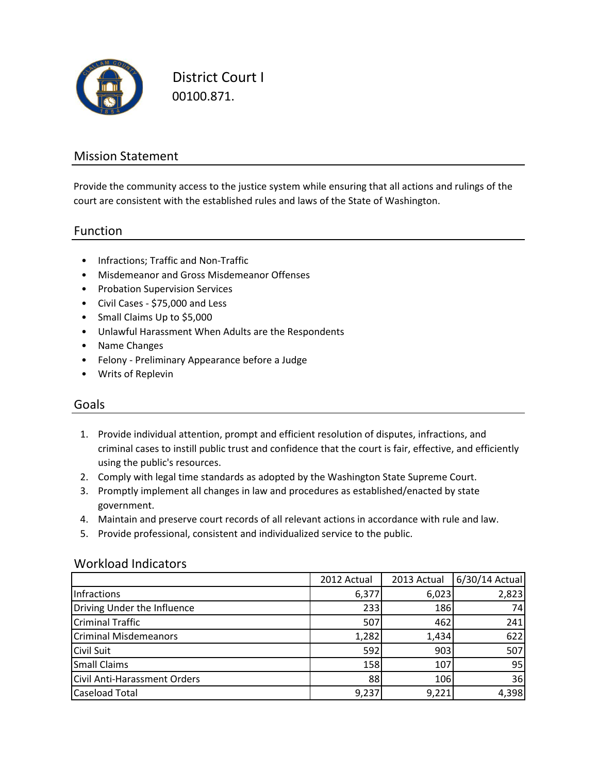

District Court I 00100.871.

## Mission Statement

Provide the community access to the justice system while ensuring that all actions and rulings of the court are consistent with the established rules and laws of the State of Washington.

#### Function

- Infractions; Traffic and Non-Traffic
- Misdemeanor and Gross Misdemeanor Offenses
- Probation Supervision Services
- Civil Cases \$75,000 and Less
- Small Claims Up to \$5,000
- Unlawful Harassment When Adults are the Respondents
- Name Changes
- Felony Preliminary Appearance before a Judge
- Writs of Replevin

## Goals

- 1. Provide individual attention, prompt and efficient resolution of disputes, infractions, and criminal cases to instill public trust and confidence that the court is fair, effective, and efficiently using the public's resources.
- 2. Comply with legal time standards as adopted by the Washington State Supreme Court.
- 3. Promptly implement all changes in law and procedures as established/enacted by state government.
- 4. Maintain and preserve court records of all relevant actions in accordance with rule and law.
- 5. Provide professional, consistent and individualized service to the public.

#### Workload Indicators

|                                     | 2012 Actual | 2013 Actual | 6/30/14 Actual |
|-------------------------------------|-------------|-------------|----------------|
| Infractions                         | 6,377       | 6,023       | 2,823          |
| Driving Under the Influence         | 233         | 186         | 74             |
| <b>Criminal Traffic</b>             | 507         | 462         | 241            |
| <b>Criminal Misdemeanors</b>        | 1,282       | 1,434       | 622            |
| <b>Civil Suit</b>                   | 592         | 903         | 507            |
| <b>Small Claims</b>                 | 158         | 107         | 95             |
| <b>Civil Anti-Harassment Orders</b> | 88          | 106         | 36             |
| <b>Caseload Total</b>               | 9,237       | 9,221       | 4,398          |